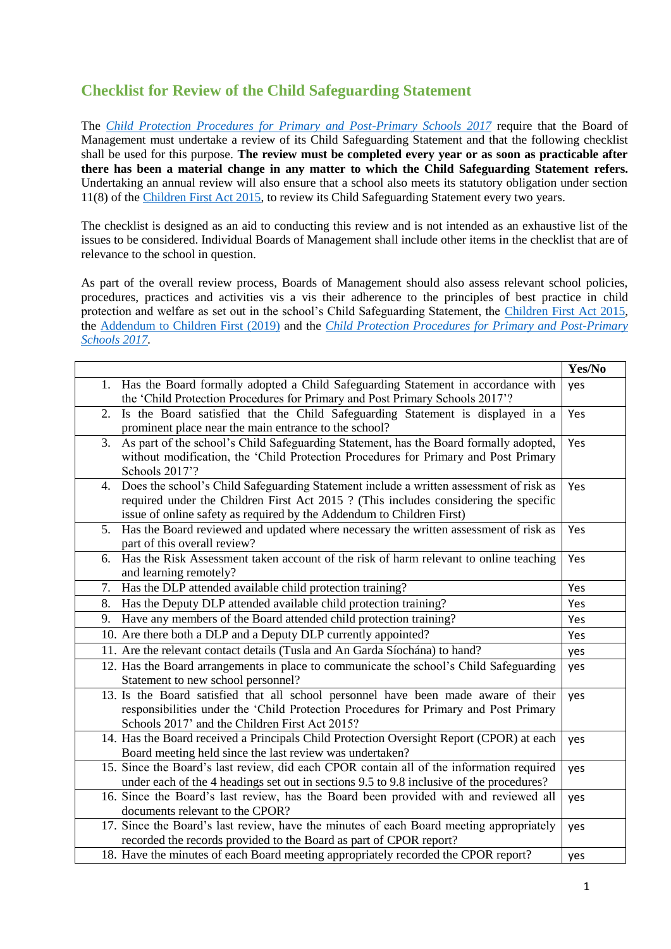## **Checklist for Review of the Child Safeguarding Statement**

The *[Child Protection Procedures for Primary and Post-Primary Schools 2017](https://www.gov.ie/pdf/?file=https://assets.gov.ie/45063/2d4b5b3d781e4ec1ab4f3e5d198717d9.pdf#page=1)* require that the Board of Management must undertake a review of its Child Safeguarding Statement and that the following checklist shall be used for this purpose. **The review must be completed every year or as soon as practicable after there has been a material change in any matter to which the Child Safeguarding Statement refers.** Undertaking an annual review will also ensure that a school also meets its statutory obligation under section 11(8) of th[e Children First Act 2015,](http://www.irishstatutebook.ie/eli/2015/act/36/enacted/en/pdf) to review its Child Safeguarding Statement every two years.

The checklist is designed as an aid to conducting this review and is not intended as an exhaustive list of the issues to be considered. Individual Boards of Management shall include other items in the checklist that are of relevance to the school in question.

As part of the overall review process, Boards of Management should also assess relevant school policies, procedures, practices and activities vis a vis their adherence to the principles of best practice in child protection and welfare as set out in the school's Child Safeguarding Statement, the [Children First Act 2015,](http://www.irishstatutebook.ie/eli/2015/act/36/enacted/en/pdf) the [Addendum to Children First \(2019\)](https://assets.gov.ie/25819/c9744b64dfd6447985eeffa5c0d71bbb.pdf) and the *[Child Protection Procedures for Primary and Post-Primary](https://www.gov.ie/pdf/?file=https://assets.gov.ie/45063/2d4b5b3d781e4ec1ab4f3e5d198717d9.pdf#page=1)  [Schools 2017.](https://www.gov.ie/pdf/?file=https://assets.gov.ie/45063/2d4b5b3d781e4ec1ab4f3e5d198717d9.pdf#page=1)*

|                                                                                                                                                                                                                                                               | Yes/No |
|---------------------------------------------------------------------------------------------------------------------------------------------------------------------------------------------------------------------------------------------------------------|--------|
| Has the Board formally adopted a Child Safeguarding Statement in accordance with<br>1.<br>the 'Child Protection Procedures for Primary and Post Primary Schools 2017'?                                                                                        | yes    |
| Is the Board satisfied that the Child Safeguarding Statement is displayed in a<br>2.<br>prominent place near the main entrance to the school?                                                                                                                 | Yes    |
| As part of the school's Child Safeguarding Statement, has the Board formally adopted,<br>3.<br>without modification, the 'Child Protection Procedures for Primary and Post Primary<br>Schools 2017'?                                                          | Yes    |
| Does the school's Child Safeguarding Statement include a written assessment of risk as<br>4.<br>required under the Children First Act 2015 ? (This includes considering the specific<br>issue of online safety as required by the Addendum to Children First) | Yes    |
| Has the Board reviewed and updated where necessary the written assessment of risk as<br>5.<br>part of this overall review?                                                                                                                                    | Yes    |
| Has the Risk Assessment taken account of the risk of harm relevant to online teaching<br>6.<br>and learning remotely?                                                                                                                                         | Yes    |
| Has the DLP attended available child protection training?<br>7.                                                                                                                                                                                               | Yes    |
| Has the Deputy DLP attended available child protection training?<br>8.                                                                                                                                                                                        | Yes    |
| Have any members of the Board attended child protection training?<br>9.                                                                                                                                                                                       | Yes    |
| 10. Are there both a DLP and a Deputy DLP currently appointed?                                                                                                                                                                                                | Yes    |
| 11. Are the relevant contact details (Tusla and An Garda Síochána) to hand?                                                                                                                                                                                   | yes    |
| 12. Has the Board arrangements in place to communicate the school's Child Safeguarding<br>Statement to new school personnel?                                                                                                                                  | yes    |
| 13. Is the Board satisfied that all school personnel have been made aware of their<br>responsibilities under the 'Child Protection Procedures for Primary and Post Primary<br>Schools 2017' and the Children First Act 2015?                                  | yes    |
| 14. Has the Board received a Principals Child Protection Oversight Report (CPOR) at each<br>Board meeting held since the last review was undertaken?                                                                                                          | yes    |
| 15. Since the Board's last review, did each CPOR contain all of the information required<br>under each of the 4 headings set out in sections 9.5 to 9.8 inclusive of the procedures?                                                                          | yes    |
| 16. Since the Board's last review, has the Board been provided with and reviewed all<br>documents relevant to the CPOR?                                                                                                                                       | yes    |
| 17. Since the Board's last review, have the minutes of each Board meeting appropriately<br>recorded the records provided to the Board as part of CPOR report?                                                                                                 | yes    |
| 18. Have the minutes of each Board meeting appropriately recorded the CPOR report?                                                                                                                                                                            | yes    |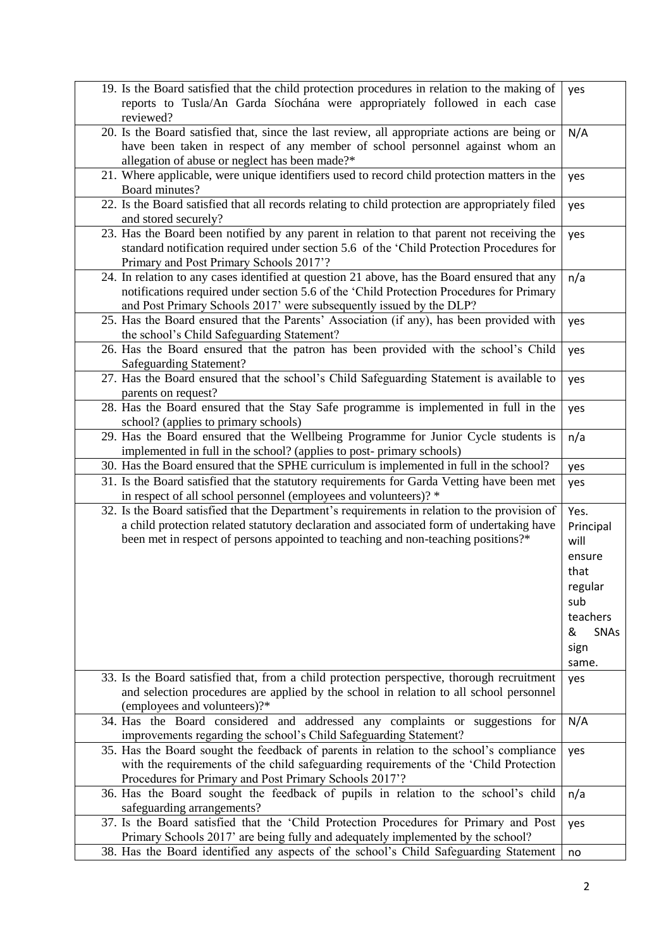| 19. Is the Board satisfied that the child protection procedures in relation to the making of<br>reports to Tusla/An Garda Síochána were appropriately followed in each case<br>reviewed?                                                                                       | yes                                                                                                     |
|--------------------------------------------------------------------------------------------------------------------------------------------------------------------------------------------------------------------------------------------------------------------------------|---------------------------------------------------------------------------------------------------------|
| 20. Is the Board satisfied that, since the last review, all appropriate actions are being or<br>have been taken in respect of any member of school personnel against whom an<br>allegation of abuse or neglect has been made?*                                                 | N/A                                                                                                     |
| 21. Where applicable, were unique identifiers used to record child protection matters in the<br>Board minutes?                                                                                                                                                                 | yes                                                                                                     |
| 22. Is the Board satisfied that all records relating to child protection are appropriately filed<br>and stored securely?                                                                                                                                                       | yes                                                                                                     |
| 23. Has the Board been notified by any parent in relation to that parent not receiving the<br>standard notification required under section 5.6 of the 'Child Protection Procedures for<br>Primary and Post Primary Schools 2017'?                                              | yes                                                                                                     |
| 24. In relation to any cases identified at question 21 above, has the Board ensured that any<br>notifications required under section 5.6 of the 'Child Protection Procedures for Primary<br>and Post Primary Schools 2017' were subsequently issued by the DLP?                | n/a                                                                                                     |
| 25. Has the Board ensured that the Parents' Association (if any), has been provided with<br>the school's Child Safeguarding Statement?                                                                                                                                         | yes                                                                                                     |
| 26. Has the Board ensured that the patron has been provided with the school's Child<br><b>Safeguarding Statement?</b>                                                                                                                                                          | yes                                                                                                     |
| 27. Has the Board ensured that the school's Child Safeguarding Statement is available to<br>parents on request?                                                                                                                                                                | yes                                                                                                     |
| 28. Has the Board ensured that the Stay Safe programme is implemented in full in the<br>school? (applies to primary schools)                                                                                                                                                   | yes                                                                                                     |
| 29. Has the Board ensured that the Wellbeing Programme for Junior Cycle students is<br>implemented in full in the school? (applies to post- primary schools)                                                                                                                   | n/a                                                                                                     |
| 30. Has the Board ensured that the SPHE curriculum is implemented in full in the school?                                                                                                                                                                                       | yes                                                                                                     |
| 31. Is the Board satisfied that the statutory requirements for Garda Vetting have been met<br>in respect of all school personnel (employees and volunteers)? *                                                                                                                 | yes                                                                                                     |
| 32. Is the Board satisfied that the Department's requirements in relation to the provision of<br>a child protection related statutory declaration and associated form of undertaking have<br>been met in respect of persons appointed to teaching and non-teaching positions?* | Yes.<br>Principal<br>will<br>ensure<br>that<br>regular<br>sub<br>teachers<br>SNAs<br>&<br>sign<br>same. |
| 33. Is the Board satisfied that, from a child protection perspective, thorough recruitment<br>and selection procedures are applied by the school in relation to all school personnel<br>(employees and volunteers)?*                                                           | yes                                                                                                     |
| 34. Has the Board considered and addressed any complaints or suggestions for<br>improvements regarding the school's Child Safeguarding Statement?                                                                                                                              | N/A                                                                                                     |
| 35. Has the Board sought the feedback of parents in relation to the school's compliance<br>with the requirements of the child safeguarding requirements of the 'Child Protection<br>Procedures for Primary and Post Primary Schools 2017'?                                     | yes                                                                                                     |
| 36. Has the Board sought the feedback of pupils in relation to the school's child<br>safeguarding arrangements?                                                                                                                                                                | n/a                                                                                                     |
| 37. Is the Board satisfied that the 'Child Protection Procedures for Primary and Post<br>Primary Schools 2017' are being fully and adequately implemented by the school?                                                                                                       | yes                                                                                                     |
| 38. Has the Board identified any aspects of the school's Child Safeguarding Statement                                                                                                                                                                                          | no                                                                                                      |